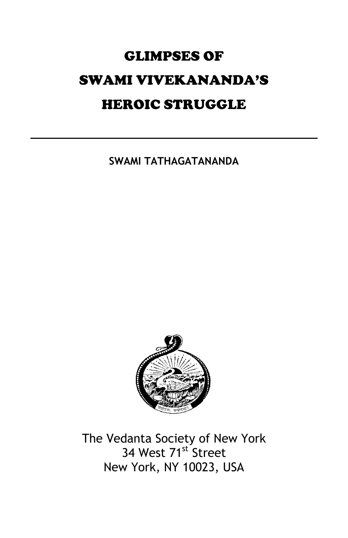# GLIMPSES OF SWAMI VIVEKANANDA'S HEROIC STRUGGLE

**SWAMI TATHAGATANANDA**



The Vedanta Society of New York 34 West 71<sup>st</sup> Street New York, NY 10023, USA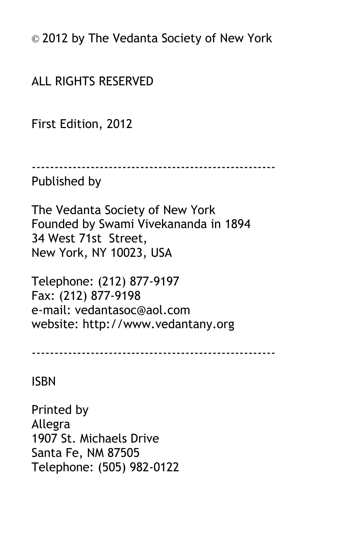© 2012 by The Vedanta Society of New York

ALL RIGHTS RESERVED

First Edition, 2012

------------------------------------------------------

#### Published by

The Vedanta Society of New York Founded by Swami Vivekananda in 1894 34 West 71st Street, New York, NY 10023, USA

Telephone: (212) 877-9197 Fax: (212) 877-9198 e-mail: vedantasoc@aol.com website: http://www.vedantany.org

------------------------------------------------------

ISBN

Printed by Allegra 1907 St. Michaels Drive Santa Fe, NM 87505 Telephone: (505) 982-0122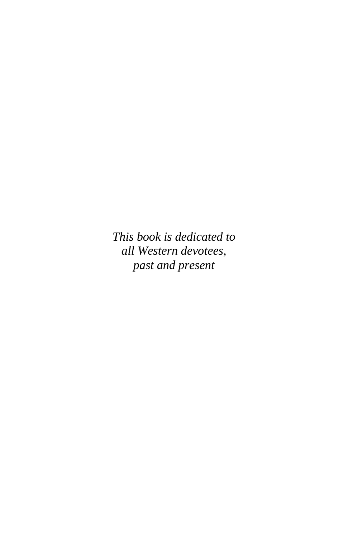*This book is dedicated to all Western devotees, past and present*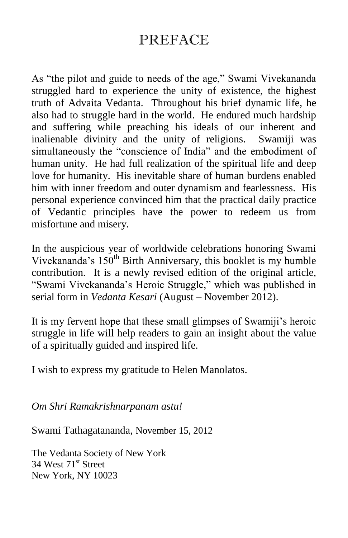### PREFACE

As "the pilot and guide to needs of the age," Swami Vivekananda struggled hard to experience the unity of existence, the highest truth of Advaita Vedanta. Throughout his brief dynamic life, he also had to struggle hard in the world. He endured much hardship and suffering while preaching his ideals of our inherent and inalienable divinity and the unity of religions. Swamiji was simultaneously the "conscience of India" and the embodiment of human unity. He had full realization of the spiritual life and deep love for humanity. His inevitable share of human burdens enabled him with inner freedom and outer dynamism and fearlessness. His personal experience convinced him that the practical daily practice of Vedantic principles have the power to redeem us from misfortune and misery.

In the auspicious year of worldwide celebrations honoring Swami Vivekananda's  $150<sup>th</sup>$  Birth Anniversary, this booklet is my humble contribution. It is a newly revised edition of the original article, "Swami Vivekananda's Heroic Struggle," which was published in serial form in *Vedanta Kesari* (August – November 2012).

It is my fervent hope that these small glimpses of Swamiji's heroic struggle in life will help readers to gain an insight about the value of a spiritually guided and inspired life.

I wish to express my gratitude to Helen Manolatos.

*Om Shri Ramakrishnarpanam astu!*

Swami Tathagatananda, November 15, 2012

The Vedanta Society of New York 34 West 71<sup>st</sup> Street New York, NY 10023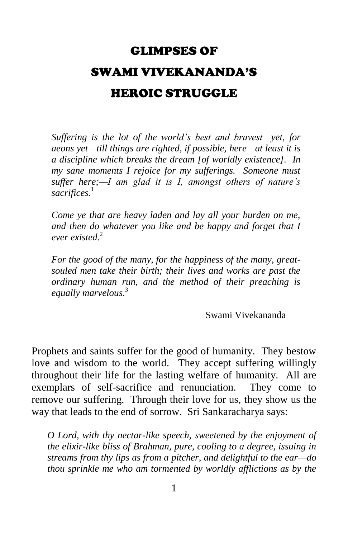## GLIMPSES OF SWAMI VIVEKANANDA'S HEROIC STRUGGLE

*Suffering is the lot of the world's best and bravest—yet, for aeons yet—till things are righted, if possible, here—at least it is a discipline which breaks the dream [of worldly existence]. In my sane moments I rejoice for my sufferings. Someone must suffer here;—I am glad it is I, amongst others of nature's sacrifices.*<sup>1</sup>

*Come ye that are heavy laden and lay all your burden on me, and then do whatever you like and be happy and forget that I ever existed.*<sup>2</sup>

*For the good of the many, for the happiness of the many, greatsouled men take their birth; their lives and works are past the ordinary human run, and the method of their preaching is equally marvelous.*<sup>3</sup> 

Swami Vivekananda

Prophets and saints suffer for the good of humanity. They bestow love and wisdom to the world. They accept suffering willingly throughout their life for the lasting welfare of humanity. All are exemplars of self-sacrifice and renunciation. They come to remove our suffering. Through their love for us, they show us the way that leads to the end of sorrow. Sri Sankaracharya says:

*O Lord, with thy nectar-like speech, sweetened by the enjoyment of the elixir-like bliss of Brahman, pure, cooling to a degree, issuing in streams from thy lips as from a pitcher, and delightful to the ear—do thou sprinkle me who am tormented by worldly afflictions as by the*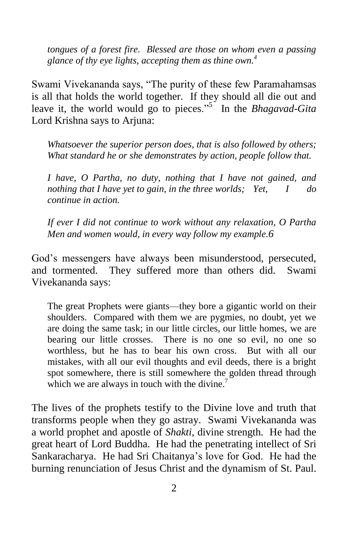*tongues of a forest fire. Blessed are those on whom even a passing glance of thy eye lights, accepting them as thine own.<sup>4</sup>*

Swami Vivekananda says, "The purity of these few Paramahamsas is all that holds the world together. If they should all die out and leave it, the world would go to pieces."<sup>5</sup> In the *Bhagavad-Gita* Lord Krishna says to Arjuna:

*Whatsoever the superior person does, that is also followed by others; What standard he or she demonstrates by action, people follow that.*

*I have, O Partha, no duty, nothing that I have not gained, and nothing that I have yet to gain, in the three worlds; Yet, I do continue in action.*

*If ever I did not continue to work without any relaxation, O Partha Men and women would, in every way follow my example.6*

God's messengers have always been misunderstood, persecuted, and tormented. They suffered more than others did. Swami Vivekananda says:

The great Prophets were giants—they bore a gigantic world on their shoulders. Compared with them we are pygmies, no doubt, yet we are doing the same task; in our little circles, our little homes, we are bearing our little crosses. There is no one so evil, no one so worthless, but he has to bear his own cross. But with all our mistakes, with all our evil thoughts and evil deeds, there is a bright spot somewhere, there is still somewhere the golden thread through which we are always in touch with the divine.<sup>7</sup>

The lives of the prophets testify to the Divine love and truth that transforms people when they go astray. Swami Vivekananda was a world prophet and apostle of *Shakti*, divine strength. He had the great heart of Lord Buddha. He had the penetrating intellect of Sri Sankaracharya. He had Sri Chaitanya's love for God. He had the burning renunciation of Jesus Christ and the dynamism of St. Paul.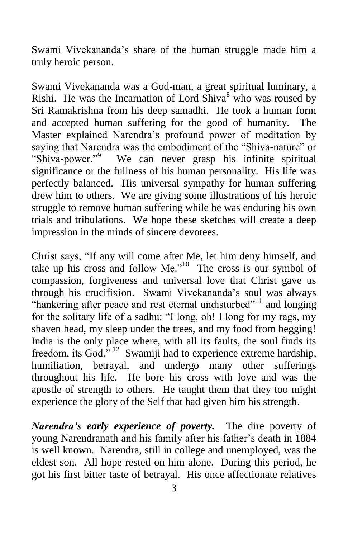Swami Vivekananda's share of the human struggle made him a truly heroic person.

Swami Vivekananda was a God-man, a great spiritual luminary, a Rishi. He was the Incarnation of Lord  $\overline{\text{Shiva}}^8$  who was roused by Sri Ramakrishna from his deep samadhi. He took a human form and accepted human suffering for the good of humanity. The Master explained Narendra's profound power of meditation by saying that Narendra was the embodiment of the "Shiva-nature" or "Shiva-power."<sup>9</sup> We can never grasp his infinite spiritual significance or the fullness of his human personality. His life was perfectly balanced. His universal sympathy for human suffering drew him to others. We are giving some illustrations of his heroic struggle to remove human suffering while he was enduring his own trials and tribulations. We hope these sketches will create a deep impression in the minds of sincere devotees.

Christ says, "If any will come after Me, let him deny himself, and take up his cross and follow Me." $10$  The cross is our symbol of compassion, forgiveness and universal love that Christ gave us through his crucifixion. Swami Vivekananda's soul was always "hankering after peace and rest eternal undisturbed"<sup>11</sup> and longing for the solitary life of a sadhu: "I long, oh! I long for my rags, my shaven head, my sleep under the trees, and my food from begging! India is the only place where, with all its faults, the soul finds its freedom, its God.<sup>7, 12</sup> Swamiji had to experience extreme hardship, humiliation, betrayal, and undergo many other sufferings throughout his life. He bore his cross with love and was the apostle of strength to others. He taught them that they too might experience the glory of the Self that had given him his strength.

*Narendra's early experience of poverty.* The dire poverty of young Narendranath and his family after his father's death in 1884 is well known. Narendra, still in college and unemployed, was the eldest son. All hope rested on him alone. During this period, he got his first bitter taste of betrayal. His once affectionate relatives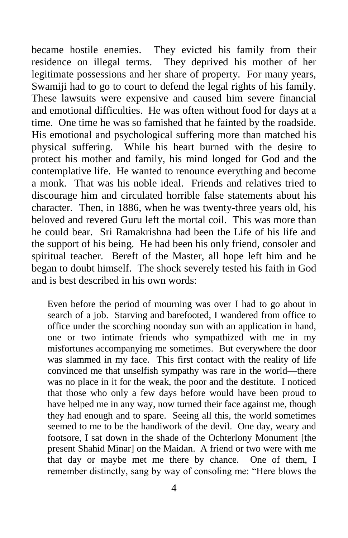became hostile enemies. They evicted his family from their residence on illegal terms. They deprived his mother of her legitimate possessions and her share of property. For many years, Swamiji had to go to court to defend the legal rights of his family. These lawsuits were expensive and caused him severe financial and emotional difficulties. He was often without food for days at a time. One time he was so famished that he fainted by the roadside. His emotional and psychological suffering more than matched his physical suffering. While his heart burned with the desire to protect his mother and family, his mind longed for God and the contemplative life. He wanted to renounce everything and become a monk. That was his noble ideal. Friends and relatives tried to discourage him and circulated horrible false statements about his character. Then, in 1886, when he was twenty-three years old, his beloved and revered Guru left the mortal coil. This was more than he could bear. Sri Ramakrishna had been the Life of his life and the support of his being. He had been his only friend, consoler and spiritual teacher. Bereft of the Master, all hope left him and he began to doubt himself. The shock severely tested his faith in God and is best described in his own words:

Even before the period of mourning was over I had to go about in search of a job. Starving and barefooted, I wandered from office to office under the scorching noonday sun with an application in hand, one or two intimate friends who sympathized with me in my misfortunes accompanying me sometimes. But everywhere the door was slammed in my face. This first contact with the reality of life convinced me that unselfish sympathy was rare in the world—there was no place in it for the weak, the poor and the destitute. I noticed that those who only a few days before would have been proud to have helped me in any way, now turned their face against me, though they had enough and to spare. Seeing all this, the world sometimes seemed to me to be the handiwork of the devil. One day, weary and footsore, I sat down in the shade of the Ochterlony Monument [the present Shahid Minar] on the Maidan. A friend or two were with me that day or maybe met me there by chance. One of them, I remember distinctly, sang by way of consoling me: "Here blows the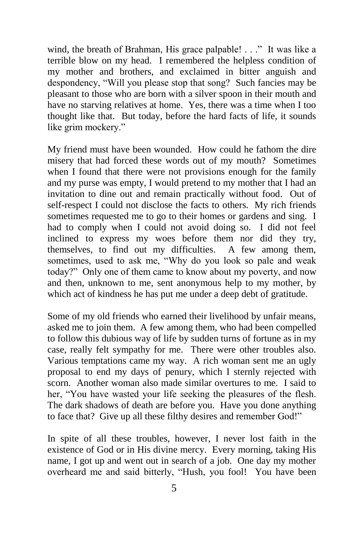wind, the breath of Brahman, His grace palpable! . . ." It was like a terrible blow on my head. I remembered the helpless condition of my mother and brothers, and exclaimed in bitter anguish and despondency, "Will you please stop that song? Such fancies may be pleasant to those who are born with a silver spoon in their mouth and have no starving relatives at home. Yes, there was a time when I too thought like that. But today, before the hard facts of life, it sounds like grim mockery."

My friend must have been wounded. How could he fathom the dire misery that had forced these words out of my mouth? Sometimes when I found that there were not provisions enough for the family and my purse was empty, I would pretend to my mother that I had an invitation to dine out and remain practically without food. Out of self-respect I could not disclose the facts to others. My rich friends sometimes requested me to go to their homes or gardens and sing. I had to comply when I could not avoid doing so. I did not feel inclined to express my woes before them nor did they try, themselves, to find out my difficulties. A few among them, sometimes, used to ask me, "Why do you look so pale and weak today?" Only one of them came to know about my poverty, and now and then, unknown to me, sent anonymous help to my mother, by which act of kindness he has put me under a deep debt of gratitude.

Some of my old friends who earned their livelihood by unfair means, asked me to join them. A few among them, who had been compelled to follow this dubious way of life by sudden turns of fortune as in my case, really felt sympathy for me. There were other troubles also. Various temptations came my way. A rich woman sent me an ugly proposal to end my days of penury, which I sternly rejected with scorn. Another woman also made similar overtures to me. I said to her, "You have wasted your life seeking the pleasures of the flesh. The dark shadows of death are before you. Have you done anything to face that? Give up all these filthy desires and remember God!"

In spite of all these troubles, however, I never lost faith in the existence of God or in His divine mercy. Every morning, taking His name, I got up and went out in search of a job. One day my mother overheard me and said bitterly, "Hush, you fool! You have been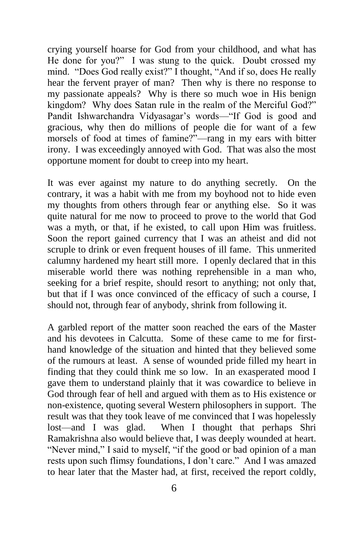crying yourself hoarse for God from your childhood, and what has He done for you?" I was stung to the quick. Doubt crossed my mind. "Does God really exist?" I thought, "And if so, does He really hear the fervent prayer of man? Then why is there no response to my passionate appeals? Why is there so much woe in His benign kingdom? Why does Satan rule in the realm of the Merciful God?" Pandit Ishwarchandra Vidyasagar's words—"If God is good and gracious, why then do millions of people die for want of a few morsels of food at times of famine?"—rang in my ears with bitter irony. I was exceedingly annoyed with God. That was also the most opportune moment for doubt to creep into my heart.

It was ever against my nature to do anything secretly. On the contrary, it was a habit with me from my boyhood not to hide even my thoughts from others through fear or anything else. So it was quite natural for me now to proceed to prove to the world that God was a myth, or that, if he existed, to call upon Him was fruitless. Soon the report gained currency that I was an atheist and did not scruple to drink or even frequent houses of ill fame. This unmerited calumny hardened my heart still more. I openly declared that in this miserable world there was nothing reprehensible in a man who, seeking for a brief respite, should resort to anything; not only that, but that if I was once convinced of the efficacy of such a course, I should not, through fear of anybody, shrink from following it.

A garbled report of the matter soon reached the ears of the Master and his devotees in Calcutta. Some of these came to me for firsthand knowledge of the situation and hinted that they believed some of the rumours at least. A sense of wounded pride filled my heart in finding that they could think me so low. In an exasperated mood I gave them to understand plainly that it was cowardice to believe in God through fear of hell and argued with them as to His existence or non-existence, quoting several Western philosophers in support. The result was that they took leave of me convinced that I was hopelessly<br>lost—and I was glad. When I thought that perhaps Shri When I thought that perhaps Shri Ramakrishna also would believe that, I was deeply wounded at heart. "Never mind," I said to myself, "if the good or bad opinion of a man rests upon such flimsy foundations, I don't care." And I was amazed to hear later that the Master had, at first, received the report coldly,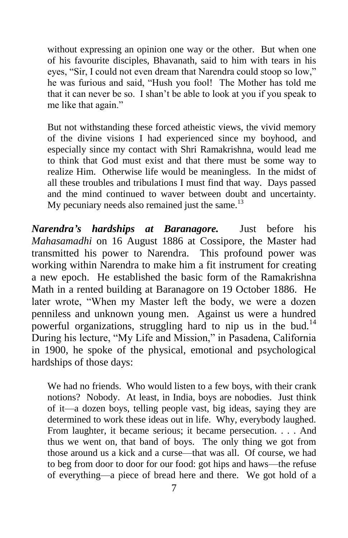without expressing an opinion one way or the other. But when one of his favourite disciples, Bhavanath, said to him with tears in his eyes, "Sir, I could not even dream that Narendra could stoop so low," he was furious and said, "Hush you fool! The Mother has told me that it can never be so. I shan't be able to look at you if you speak to me like that again."

But not withstanding these forced atheistic views, the vivid memory of the divine visions I had experienced since my boyhood, and especially since my contact with Shri Ramakrishna, would lead me to think that God must exist and that there must be some way to realize Him. Otherwise life would be meaningless. In the midst of all these troubles and tribulations I must find that way. Days passed and the mind continued to waver between doubt and uncertainty. My pecuniary needs also remained just the same. $^{13}$ 

*Narendra's hardships at Baranagore.* Just before his *Mahasamadhi* on 16 August 1886 at Cossipore, the Master had transmitted his power to Narendra. This profound power was working within Narendra to make him a fit instrument for creating a new epoch. He established the basic form of the Ramakrishna Math in a rented building at Baranagore on 19 October 1886. He later wrote, "When my Master left the body, we were a dozen penniless and unknown young men. Against us were a hundred powerful organizations, struggling hard to nip us in the bud.<sup>14</sup> During his lecture, "My Life and Mission," in Pasadena, California in 1900, he spoke of the physical, emotional and psychological hardships of those days:

We had no friends. Who would listen to a few boys, with their crank notions? Nobody. At least, in India, boys are nobodies. Just think of it—a dozen boys, telling people vast, big ideas, saying they are determined to work these ideas out in life. Why, everybody laughed. From laughter, it became serious; it became persecution. . . . And thus we went on, that band of boys. The only thing we got from those around us a kick and a curse—that was all. Of course, we had to beg from door to door for our food: got hips and haws—the refuse of everything—a piece of bread here and there. We got hold of a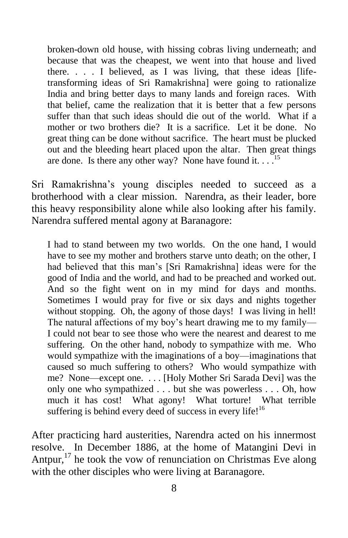broken-down old house, with hissing cobras living underneath; and because that was the cheapest, we went into that house and lived there.  $\ldots$  I believed, as I was living, that these ideas [lifetransforming ideas of Sri Ramakrishna] were going to rationalize India and bring better days to many lands and foreign races. With that belief, came the realization that it is better that a few persons suffer than that such ideas should die out of the world. What if a mother or two brothers die? It is a sacrifice. Let it be done. No great thing can be done without sacrifice. The heart must be plucked out and the bleeding heart placed upon the altar. Then great things are done. Is there any other way? None have found it.  $\ldots$ <sup>15</sup>

Sri Ramakrishna's young disciples needed to succeed as a brotherhood with a clear mission. Narendra, as their leader, bore this heavy responsibility alone while also looking after his family. Narendra suffered mental agony at Baranagore:

I had to stand between my two worlds. On the one hand, I would have to see my mother and brothers starve unto death; on the other, I had believed that this man's [Sri Ramakrishna] ideas were for the good of India and the world, and had to be preached and worked out. And so the fight went on in my mind for days and months. Sometimes I would pray for five or six days and nights together without stopping. Oh, the agony of those days! I was living in hell! The natural affections of my boy's heart drawing me to my family— I could not bear to see those who were the nearest and dearest to me suffering. On the other hand, nobody to sympathize with me. Who would sympathize with the imaginations of a boy—imaginations that caused so much suffering to others? Who would sympathize with me? None—except one. . . . [Holy Mother Sri Sarada Devi] was the only one who sympathized . . . but she was powerless . . . Oh, how much it has cost! What agony! What torture! What terrible suffering is behind every deed of success in every life! $16$ 

After practicing hard austerities, Narendra acted on his innermost resolve. In December 1886, at the home of Matangini Devi in Antpur,<sup>17</sup> he took the vow of renunciation on Christmas Eve along with the other disciples who were living at Baranagore.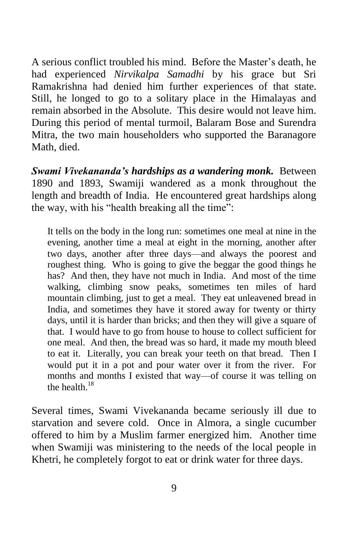A serious conflict troubled his mind. Before the Master's death, he had experienced *Nirvikalpa Samadhi* by his grace but Sri Ramakrishna had denied him further experiences of that state. Still, he longed to go to a solitary place in the Himalayas and remain absorbed in the Absolute. This desire would not leave him. During this period of mental turmoil, Balaram Bose and Surendra Mitra, the two main householders who supported the Baranagore Math, died.

*Swami Vivekananda's hardships as a wandering monk.* Between 1890 and 1893, Swamiji wandered as a monk throughout the length and breadth of India. He encountered great hardships along the way, with his "health breaking all the time":

It tells on the body in the long run: sometimes one meal at nine in the evening, another time a meal at eight in the morning, another after two days, another after three days—and always the poorest and roughest thing. Who is going to give the beggar the good things he has? And then, they have not much in India. And most of the time walking, climbing snow peaks, sometimes ten miles of hard mountain climbing, just to get a meal. They eat unleavened bread in India, and sometimes they have it stored away for twenty or thirty days, until it is harder than bricks; and then they will give a square of that. I would have to go from house to house to collect sufficient for one meal. And then, the bread was so hard, it made my mouth bleed to eat it. Literally, you can break your teeth on that bread. Then I would put it in a pot and pour water over it from the river. For months and months I existed that way—of course it was telling on the health  $^{18}$ 

Several times, Swami Vivekananda became seriously ill due to starvation and severe cold. Once in Almora, a single cucumber offered to him by a Muslim farmer energized him. Another time when Swamiji was ministering to the needs of the local people in Khetri, he completely forgot to eat or drink water for three days.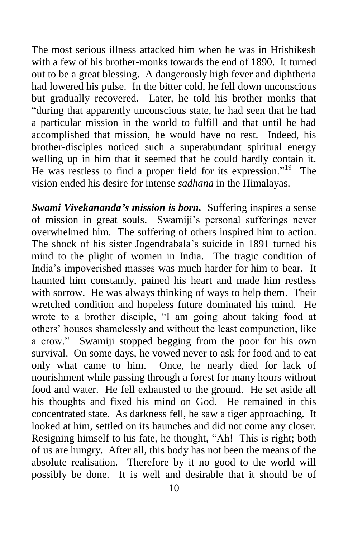The most serious illness attacked him when he was in Hrishikesh with a few of his brother-monks towards the end of 1890. It turned out to be a great blessing. A dangerously high fever and diphtheria had lowered his pulse. In the bitter cold, he fell down unconscious but gradually recovered. Later, he told his brother monks that "during that apparently unconscious state, he had seen that he had a particular mission in the world to fulfill and that until he had accomplished that mission, he would have no rest. Indeed, his brother-disciples noticed such a superabundant spiritual energy welling up in him that it seemed that he could hardly contain it. He was restless to find a proper field for its expression."<sup>19</sup> The vision ended his desire for intense *sadhana* in the Himalayas.

*Swami Vivekananda's mission is born.* Suffering inspires a sense of mission in great souls. Swamiji's personal sufferings never overwhelmed him. The suffering of others inspired him to action. The shock of his sister Jogendrabala's suicide in 1891 turned his mind to the plight of women in India. The tragic condition of India's impoverished masses was much harder for him to bear. It haunted him constantly, pained his heart and made him restless with sorrow. He was always thinking of ways to help them. Their wretched condition and hopeless future dominated his mind. He wrote to a brother disciple, "I am going about taking food at others' houses shamelessly and without the least compunction, like a crow." Swamiji stopped begging from the poor for his own survival. On some days, he vowed never to ask for food and to eat only what came to him. Once, he nearly died for lack of nourishment while passing through a forest for many hours without food and water. He fell exhausted to the ground. He set aside all his thoughts and fixed his mind on God. He remained in this concentrated state. As darkness fell, he saw a tiger approaching. It looked at him, settled on its haunches and did not come any closer. Resigning himself to his fate, he thought, "Ah! This is right; both of us are hungry. After all, this body has not been the means of the absolute realisation. Therefore by it no good to the world will possibly be done. It is well and desirable that it should be of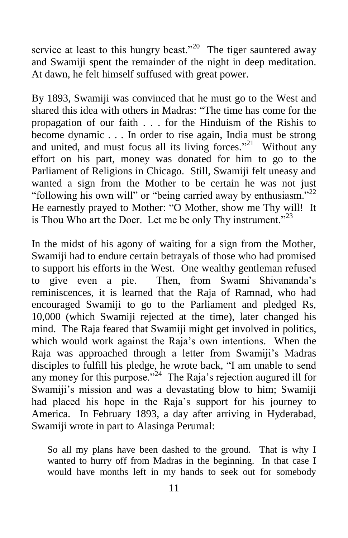service at least to this hungry beast."<sup>20</sup> The tiger sauntered away and Swamiji spent the remainder of the night in deep meditation. At dawn, he felt himself suffused with great power.

By 1893, Swamiji was convinced that he must go to the West and shared this idea with others in Madras: "The time has come for the propagation of our faith . . . for the Hinduism of the Rishis to become dynamic . . . In order to rise again, India must be strong and united, and must focus all its living forces."<sup>21</sup> Without any effort on his part, money was donated for him to go to the Parliament of Religions in Chicago. Still, Swamiji felt uneasy and wanted a sign from the Mother to be certain he was not just "following his own will" or "being carried away by enthusiasm."<sup>22</sup> He earnestly prayed to Mother: "O Mother, show me Thy will! It is Thou Who art the Doer. Let me be only Thy instrument."<sup>23</sup>

In the midst of his agony of waiting for a sign from the Mother, Swamiji had to endure certain betrayals of those who had promised to support his efforts in the West. One wealthy gentleman refused to give even a pie. Then, from Swami Shivananda's reminiscences, it is learned that the Raja of Ramnad, who had encouraged Swamiji to go to the Parliament and pledged Rs, 10,000 (which Swamiji rejected at the time), later changed his mind. The Raja feared that Swamiji might get involved in politics, which would work against the Raja's own intentions. When the Raja was approached through a letter from Swamiji's Madras disciples to fulfill his pledge, he wrote back, "I am unable to send any money for this purpose." $^{24}$  The Raja's rejection augured ill for Swamiji's mission and was a devastating blow to him; Swamiji had placed his hope in the Raja's support for his journey to America. In February 1893, a day after arriving in Hyderabad, Swamiji wrote in part to Alasinga Perumal:

So all my plans have been dashed to the ground. That is why I wanted to hurry off from Madras in the beginning. In that case I would have months left in my hands to seek out for somebody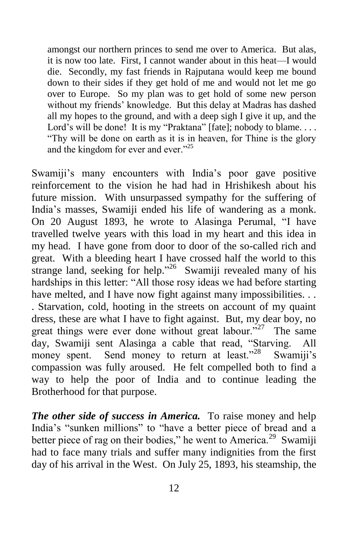amongst our northern princes to send me over to America. But alas, it is now too late. First, I cannot wander about in this heat—I would die. Secondly, my fast friends in Rajputana would keep me bound down to their sides if they get hold of me and would not let me go over to Europe. So my plan was to get hold of some new person without my friends' knowledge. But this delay at Madras has dashed all my hopes to the ground, and with a deep sigh I give it up, and the Lord's will be done! It is my "Praktana" [fate]; nobody to blame.... "Thy will be done on earth as it is in heaven, for Thine is the glory and the kingdom for ever and ever."<sup>25</sup>

Swamiji's many encounters with India's poor gave positive reinforcement to the vision he had had in Hrishikesh about his future mission. With unsurpassed sympathy for the suffering of India's masses, Swamiji ended his life of wandering as a monk. On 20 August 1893, he wrote to Alasinga Perumal, "I have travelled twelve years with this load in my heart and this idea in my head. I have gone from door to door of the so-called rich and great. With a bleeding heart I have crossed half the world to this strange land, seeking for help."<sup>26</sup> Swamiji revealed many of his hardships in this letter: "All those rosy ideas we had before starting have melted, and I have now fight against many impossibilities. . . . Starvation, cold, hooting in the streets on account of my quaint dress, these are what I have to fight against. But, my dear boy, no great things were ever done without great labour."<sup>27</sup> The same day, Swamiji sent Alasinga a cable that read, "Starving. All money spent. Send money to return at least."<sup>28</sup> Swamiji's compassion was fully aroused. He felt compelled both to find a way to help the poor of India and to continue leading the Brotherhood for that purpose.

*The other side of success in America.* To raise money and help India's "sunken millions" to "have a better piece of bread and a better piece of rag on their bodies," he went to America. $29$  Swamiji had to face many trials and suffer many indignities from the first day of his arrival in the West. On July 25, 1893, his steamship, the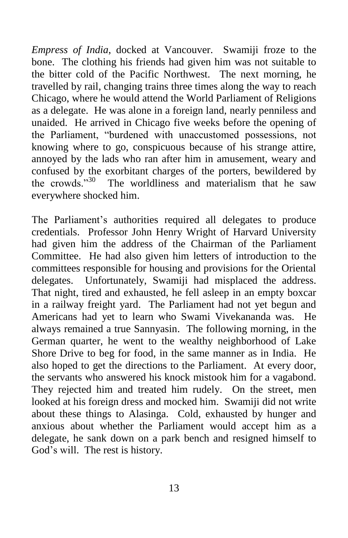*Empress of India*, docked at Vancouver. Swamiji froze to the bone. The clothing his friends had given him was not suitable to the bitter cold of the Pacific Northwest. The next morning, he travelled by rail, changing trains three times along the way to reach Chicago, where he would attend the World Parliament of Religions as a delegate. He was alone in a foreign land, nearly penniless and unaided. He arrived in Chicago five weeks before the opening of the Parliament, "burdened with unaccustomed possessions, not knowing where to go, conspicuous because of his strange attire, annoyed by the lads who ran after him in amusement, weary and confused by the exorbitant charges of the porters, bewildered by the crowds $^{3,30}$  The worldliness and materialism that he saw everywhere shocked him.

The Parliament's authorities required all delegates to produce credentials. Professor John Henry Wright of Harvard University had given him the address of the Chairman of the Parliament Committee. He had also given him letters of introduction to the committees responsible for housing and provisions for the Oriental delegates. Unfortunately, Swamiji had misplaced the address. That night, tired and exhausted, he fell asleep in an empty boxcar in a railway freight yard. The Parliament had not yet begun and Americans had yet to learn who Swami Vivekananda was. He always remained a true Sannyasin. The following morning, in the German quarter, he went to the wealthy neighborhood of Lake Shore Drive to beg for food, in the same manner as in India. He also hoped to get the directions to the Parliament. At every door, the servants who answered his knock mistook him for a vagabond. They rejected him and treated him rudely. On the street, men looked at his foreign dress and mocked him. Swamiji did not write about these things to Alasinga. Cold, exhausted by hunger and anxious about whether the Parliament would accept him as a delegate, he sank down on a park bench and resigned himself to God's will. The rest is history.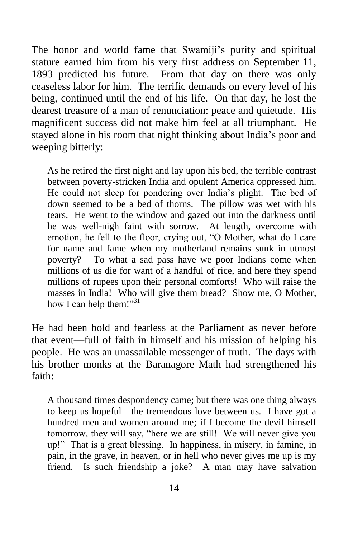The honor and world fame that Swamiji's purity and spiritual stature earned him from his very first address on September 11, 1893 predicted his future. From that day on there was only ceaseless labor for him. The terrific demands on every level of his being, continued until the end of his life. On that day, he lost the dearest treasure of a man of renunciation: peace and quietude. His magnificent success did not make him feel at all triumphant. He stayed alone in his room that night thinking about India's poor and weeping bitterly:

As he retired the first night and lay upon his bed, the terrible contrast between poverty-stricken India and opulent America oppressed him. He could not sleep for pondering over India's plight. The bed of down seemed to be a bed of thorns. The pillow was wet with his tears. He went to the window and gazed out into the darkness until he was well-nigh faint with sorrow. At length, overcome with emotion, he fell to the floor, crying out, "O Mother, what do I care for name and fame when my motherland remains sunk in utmost poverty? To what a sad pass have we poor Indians come when millions of us die for want of a handful of rice, and here they spend millions of rupees upon their personal comforts! Who will raise the masses in India! Who will give them bread? Show me, O Mother, how I can help them!"<sup>31</sup>

He had been bold and fearless at the Parliament as never before that event—full of faith in himself and his mission of helping his people. He was an unassailable messenger of truth. The days with his brother monks at the Baranagore Math had strengthened his faith:

A thousand times despondency came; but there was one thing always to keep us hopeful—the tremendous love between us. I have got a hundred men and women around me; if I become the devil himself tomorrow, they will say, "here we are still! We will never give you up!" That is a great blessing. In happiness, in misery, in famine, in pain, in the grave, in heaven, or in hell who never gives me up is my friend. Is such friendship a joke? A man may have salvation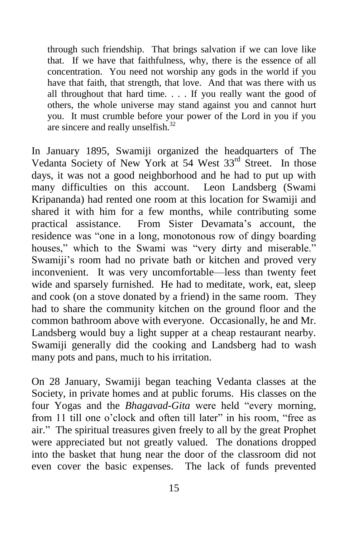through such friendship. That brings salvation if we can love like that. If we have that faithfulness, why, there is the essence of all concentration. You need not worship any gods in the world if you have that faith, that strength, that love. And that was there with us all throughout that hard time. . . . If you really want the good of others, the whole universe may stand against you and cannot hurt you. It must crumble before your power of the Lord in you if you are sincere and really unselfish.<sup>32</sup>

In January 1895, Swamiji organized the headquarters of The Vedanta Society of New York at 54 West 33<sup>rd</sup> Street. In those days, it was not a good neighborhood and he had to put up with many difficulties on this account. Leon Landsberg (Swami Kripananda) had rented one room at this location for Swamiji and shared it with him for a few months, while contributing some practical assistance. From Sister Devamata's account, the residence was "one in a long, monotonous row of dingy boarding houses," which to the Swami was "very dirty and miserable." Swamiji's room had no private bath or kitchen and proved very inconvenient. It was very uncomfortable—less than twenty feet wide and sparsely furnished. He had to meditate, work, eat, sleep and cook (on a stove donated by a friend) in the same room. They had to share the community kitchen on the ground floor and the common bathroom above with everyone. Occasionally, he and Mr. Landsberg would buy a light supper at a cheap restaurant nearby. Swamiji generally did the cooking and Landsberg had to wash many pots and pans, much to his irritation.

On 28 January, Swamiji began teaching Vedanta classes at the Society, in private homes and at public forums. His classes on the four Yogas and the *Bhagavad-Gita* were held "every morning, from 11 till one o'clock and often till later" in his room, "free as air." The spiritual treasures given freely to all by the great Prophet were appreciated but not greatly valued. The donations dropped into the basket that hung near the door of the classroom did not even cover the basic expenses. The lack of funds prevented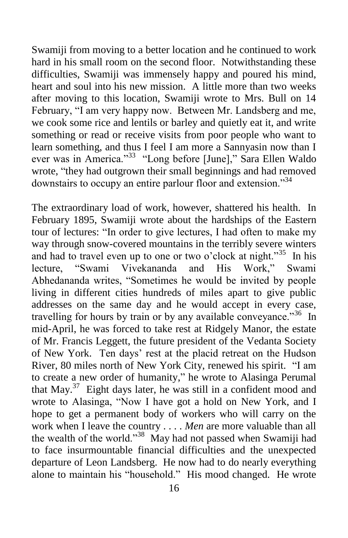Swamiji from moving to a better location and he continued to work hard in his small room on the second floor. Notwithstanding these difficulties, Swamiji was immensely happy and poured his mind, heart and soul into his new mission. A little more than two weeks after moving to this location, Swamiji wrote to Mrs. Bull on 14 February, "I am very happy now. Between Mr. Landsberg and me, we cook some rice and lentils or barley and quietly eat it, and write something or read or receive visits from poor people who want to learn something, and thus I feel I am more a Sannyasin now than I ever was in America."<sup>33</sup> "Long before [June]," Sara Ellen Waldo wrote, "they had outgrown their small beginnings and had removed downstairs to occupy an entire parlour floor and extension."<sup>34</sup>

The extraordinary load of work, however, shattered his health. In February 1895, Swamiji wrote about the hardships of the Eastern tour of lectures: "In order to give lectures, I had often to make my way through snow-covered mountains in the terribly severe winters and had to travel even up to one or two o'clock at night."<sup>35</sup> In his lecture, "Swami Vivekananda and His Work," Swami Abhedananda writes, "Sometimes he would be invited by people living in different cities hundreds of miles apart to give public addresses on the same day and he would accept in every case, travelling for hours by train or by any available conveyance."<sup>36</sup> In mid-April, he was forced to take rest at Ridgely Manor, the estate of Mr. Francis Leggett, the future president of the Vedanta Society of New York. Ten days' rest at the placid retreat on the Hudson River, 80 miles north of New York City, renewed his spirit. "I am to create a new order of humanity," he wrote to Alasinga Perumal that May. 37 Eight days later, he was still in a confident mood and wrote to Alasinga, "Now I have got a hold on New York, and I hope to get a permanent body of workers who will carry on the work when I leave the country . . . . *Men* are more valuable than all the wealth of the world."<sup>38</sup> May had not passed when Swamiji had to face insurmountable financial difficulties and the unexpected departure of Leon Landsberg. He now had to do nearly everything alone to maintain his "household." His mood changed. He wrote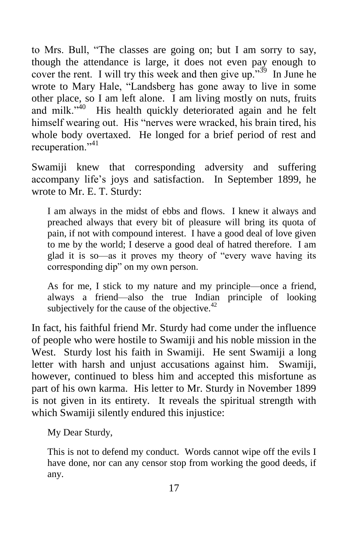to Mrs. Bull, "The classes are going on; but I am sorry to say, though the attendance is large, it does not even pay enough to cover the rent. I will try this week and then give up." $39$  In June he wrote to Mary Hale, "Landsberg has gone away to live in some other place, so I am left alone. I am living mostly on nuts, fruits and milk." $\dot{a}^{40}$  His health quickly deteriorated again and he felt himself wearing out. His "nerves were wracked, his brain tired, his whole body overtaxed. He longed for a brief period of rest and recuperation."<sup>41</sup>

Swamiji knew that corresponding adversity and suffering accompany life's joys and satisfaction. In September 1899, he wrote to Mr. E. T. Sturdy:

I am always in the midst of ebbs and flows. I knew it always and preached always that every bit of pleasure will bring its quota of pain, if not with compound interest. I have a good deal of love given to me by the world; I deserve a good deal of hatred therefore. I am glad it is so—as it proves my theory of "every wave having its corresponding dip" on my own person.

As for me, I stick to my nature and my principle—once a friend, always a friend—also the true Indian principle of looking subjectively for the cause of the objective. $42$ 

In fact, his faithful friend Mr. Sturdy had come under the influence of people who were hostile to Swamiji and his noble mission in the West. Sturdy lost his faith in Swamiji. He sent Swamiji a long letter with harsh and unjust accusations against him. Swamiji, however, continued to bless him and accepted this misfortune as part of his own karma. His letter to Mr. Sturdy in November 1899 is not given in its entirety. It reveals the spiritual strength with which Swamiji silently endured this injustice:

My Dear Sturdy,

This is not to defend my conduct. Words cannot wipe off the evils I have done, nor can any censor stop from working the good deeds, if any.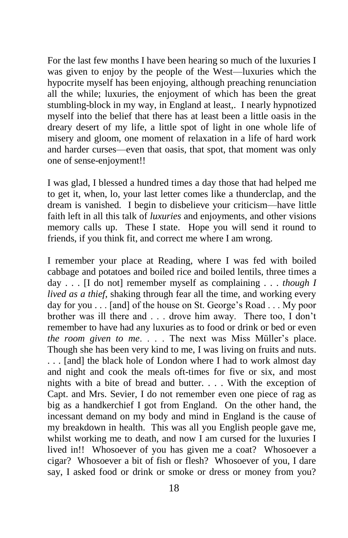For the last few months I have been hearing so much of the luxuries I was given to enjoy by the people of the West—luxuries which the hypocrite myself has been enjoying, although preaching renunciation all the while; luxuries, the enjoyment of which has been the great stumbling-block in my way, in England at least,. I nearly hypnotized myself into the belief that there has at least been a little oasis in the dreary desert of my life, a little spot of light in one whole life of misery and gloom, one moment of relaxation in a life of hard work and harder curses—even that oasis, that spot, that moment was only one of sense-enjoyment!!

I was glad, I blessed a hundred times a day those that had helped me to get it, when, lo, your last letter comes like a thunderclap, and the dream is vanished. I begin to disbelieve your criticism—have little faith left in all this talk of *luxuries* and enjoyments, and other visions memory calls up. These I state. Hope you will send it round to friends, if you think fit, and correct me where I am wrong.

I remember your place at Reading, where I was fed with boiled cabbage and potatoes and boiled rice and boiled lentils, three times a day . . . [I do not] remember myself as complaining . . . *though I lived as a thief*, shaking through fear all the time, and working every day for you . . . [and] of the house on St. George's Road . . . My poor brother was ill there and . . . drove him away. There too, I don't remember to have had any luxuries as to food or drink or bed or even *the room given to me*. . . . The next was Miss Müller's place. Though she has been very kind to me, I was living on fruits and nuts. . . . [and] the black hole of London where I had to work almost day and night and cook the meals oft-times for five or six, and most nights with a bite of bread and butter. . . . With the exception of Capt. and Mrs. Sevier, I do not remember even one piece of rag as big as a handkerchief I got from England. On the other hand, the incessant demand on my body and mind in England is the cause of my breakdown in health. This was all you English people gave me, whilst working me to death, and now I am cursed for the luxuries I lived in!! Whosoever of you has given me a coat? Whosoever a cigar? Whosoever a bit of fish or flesh? Whosoever of you, I dare say, I asked food or drink or smoke or dress or money from you?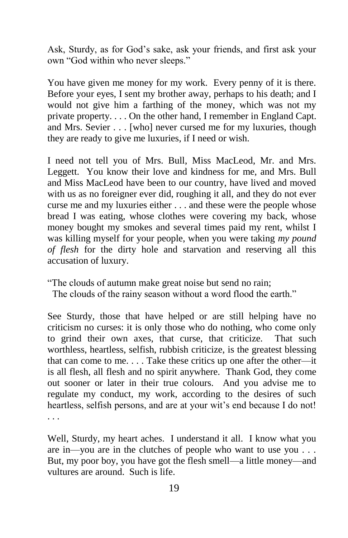Ask, Sturdy, as for God's sake, ask your friends, and first ask your own "God within who never sleeps."

You have given me money for my work. Every penny of it is there. Before your eyes, I sent my brother away, perhaps to his death; and I would not give him a farthing of the money, which was not my private property. . . . On the other hand, I remember in England Capt. and Mrs. Sevier . . . [who] never cursed me for my luxuries, though they are ready to give me luxuries, if I need or wish.

I need not tell you of Mrs. Bull, Miss MacLeod, Mr. and Mrs. Leggett. You know their love and kindness for me, and Mrs. Bull and Miss MacLeod have been to our country, have lived and moved with us as no foreigner ever did, roughing it all, and they do not ever curse me and my luxuries either . . . and these were the people whose bread I was eating, whose clothes were covering my back, whose money bought my smokes and several times paid my rent, whilst I was killing myself for your people, when you were taking *my pound of flesh* for the dirty hole and starvation and reserving all this accusation of luxury.

"The clouds of autumn make great noise but send no rain;

The clouds of the rainy season without a word flood the earth."

See Sturdy, those that have helped or are still helping have no criticism no curses: it is only those who do nothing, who come only to grind their own axes, that curse, that criticize. That such worthless, heartless, selfish, rubbish criticize, is the greatest blessing that can come to me. . . . Take these critics up one after the other—it is all flesh, all flesh and no spirit anywhere. Thank God, they come out sooner or later in their true colours. And you advise me to regulate my conduct, my work, according to the desires of such heartless, selfish persons, and are at your wit's end because I do not! . . .

Well, Sturdy, my heart aches. I understand it all. I know what you are in—you are in the clutches of people who want to use you . . . But, my poor boy, you have got the flesh smell—a little money—and vultures are around. Such is life.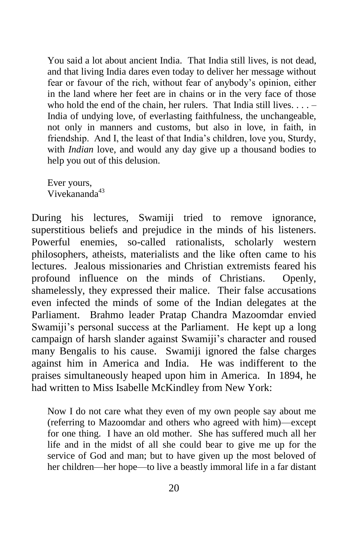You said a lot about ancient India. That India still lives, is not dead, and that living India dares even today to deliver her message without fear or favour of the rich, without fear of anybody's opinion, either in the land where her feet are in chains or in the very face of those who hold the end of the chain, her rulers. That India still lives.  $\dots$  – India of undying love, of everlasting faithfulness, the unchangeable, not only in manners and customs, but also in love, in faith, in friendship. And I, the least of that India's children, love you, Sturdy, with *Indian* love, and would any day give up a thousand bodies to help you out of this delusion.

Ever yours, Vivekananda<sup>43</sup>

During his lectures, Swamiji tried to remove ignorance, superstitious beliefs and prejudice in the minds of his listeners. Powerful enemies, so-called rationalists, scholarly western philosophers, atheists, materialists and the like often came to his lectures. Jealous missionaries and Christian extremists feared his profound influence on the minds of Christians. Openly, shamelessly, they expressed their malice. Their false accusations even infected the minds of some of the Indian delegates at the Parliament. Brahmo leader Pratap Chandra Mazoomdar envied Swamiji's personal success at the Parliament. He kept up a long campaign of harsh slander against Swamiji's character and roused many Bengalis to his cause. Swamiji ignored the false charges against him in America and India. He was indifferent to the praises simultaneously heaped upon him in America. In 1894, he had written to Miss Isabelle McKindley from New York:

Now I do not care what they even of my own people say about me (referring to Mazoomdar and others who agreed with him)—except for one thing. I have an old mother. She has suffered much all her life and in the midst of all she could bear to give me up for the service of God and man; but to have given up the most beloved of her children—her hope—to live a beastly immoral life in a far distant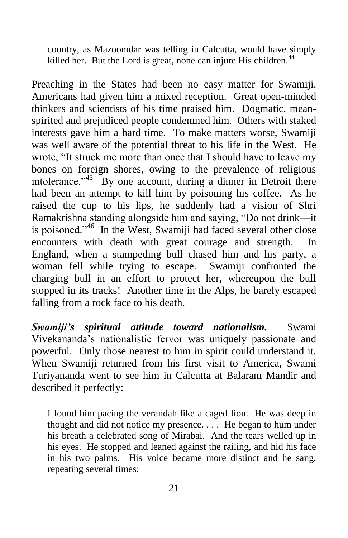country, as Mazoomdar was telling in Calcutta, would have simply killed her. But the Lord is great, none can injure His children.<sup>44</sup>

Preaching in the States had been no easy matter for Swamiji. Americans had given him a mixed reception. Great open-minded thinkers and scientists of his time praised him. Dogmatic, meanspirited and prejudiced people condemned him. Others with staked interests gave him a hard time. To make matters worse, Swamiji was well aware of the potential threat to his life in the West. He wrote, "It struck me more than once that I should have to leave my bones on foreign shores, owing to the prevalence of religious intolerance."<sup>45</sup> By one account, during a dinner in Detroit there had been an attempt to kill him by poisoning his coffee. As he raised the cup to his lips, he suddenly had a vision of Shri Ramakrishna standing alongside him and saying, "Do not drink—it is poisoned."<sup>46</sup> In the West, Swamiji had faced several other close encounters with death with great courage and strength. In England, when a stampeding bull chased him and his party, a woman fell while trying to escape. Swamiji confronted the charging bull in an effort to protect her, whereupon the bull stopped in its tracks! Another time in the Alps, he barely escaped falling from a rock face to his death.

*Swamiji's spiritual attitude toward nationalism.* Swami Vivekananda's nationalistic fervor was uniquely passionate and powerful. Only those nearest to him in spirit could understand it. When Swamiji returned from his first visit to America, Swami Turiyananda went to see him in Calcutta at Balaram Mandir and described it perfectly:

I found him pacing the verandah like a caged lion. He was deep in thought and did not notice my presence. . . . He began to hum under his breath a celebrated song of Mirabai. And the tears welled up in his eyes. He stopped and leaned against the railing, and hid his face in his two palms. His voice became more distinct and he sang, repeating several times: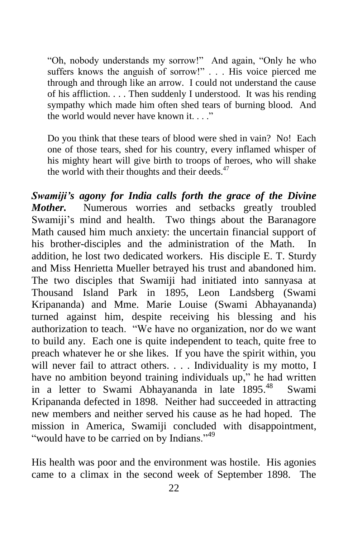"Oh, nobody understands my sorrow!" And again, "Only he who suffers knows the anguish of sorrow!" . . . His voice pierced me through and through like an arrow. I could not understand the cause of his affliction. . . . Then suddenly I understood. It was his rending sympathy which made him often shed tears of burning blood. And the world would never have known it.  $\cdots$ 

Do you think that these tears of blood were shed in vain? No! Each one of those tears, shed for his country, every inflamed whisper of his mighty heart will give birth to troops of heroes, who will shake the world with their thoughts and their deeds.<sup>47</sup>

*Swamiji's agony for India calls forth the grace of the Divine Mother.* Numerous worries and setbacks greatly troubled Swamiji's mind and health. Two things about the Baranagore Math caused him much anxiety: the uncertain financial support of his brother-disciples and the administration of the Math. In addition, he lost two dedicated workers. His disciple E. T. Sturdy and Miss Henrietta Mueller betrayed his trust and abandoned him. The two disciples that Swamiji had initiated into sannyasa at Thousand Island Park in 1895, Leon Landsberg (Swami Kripananda) and Mme. Marie Louise (Swami Abhayananda) turned against him, despite receiving his blessing and his authorization to teach. "We have no organization, nor do we want to build any. Each one is quite independent to teach, quite free to preach whatever he or she likes. If you have the spirit within, you will never fail to attract others. . . . Individuality is my motto, I have no ambition beyond training individuals up," he had written in a letter to Swami Abhayananda in late 1895.<sup>48</sup> Swami Kripananda defected in 1898. Neither had succeeded in attracting new members and neither served his cause as he had hoped. The mission in America, Swamiji concluded with disappointment, "would have to be carried on by Indians."<sup>49</sup>

His health was poor and the environment was hostile. His agonies came to a climax in the second week of September 1898. The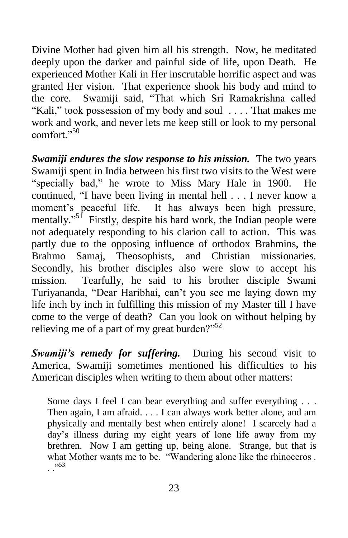Divine Mother had given him all his strength. Now, he meditated deeply upon the darker and painful side of life, upon Death. He experienced Mother Kali in Her inscrutable horrific aspect and was granted Her vision. That experience shook his body and mind to the core. Swamiji said, "That which Sri Ramakrishna called "Kali," took possession of my body and soul . . . . That makes me work and work, and never lets me keep still or look to my personal comfort<sup>"50</sup>

*Swamiji endures the slow response to his mission.* The two years Swamiji spent in India between his first two visits to the West were "specially bad," he wrote to Miss Mary Hale in 1900. He continued, "I have been living in mental hell . . . I never know a moment's peaceful life. It has always been high pressure, mentally."<sup>51</sup> Firstly, despite his hard work, the Indian people were not adequately responding to his clarion call to action. This was partly due to the opposing influence of orthodox Brahmins, the Brahmo Samaj, Theosophists, and Christian missionaries. Secondly, his brother disciples also were slow to accept his mission. Tearfully, he said to his brother disciple Swami Turiyananda, "Dear Haribhai, can't you see me laying down my life inch by inch in fulfilling this mission of my Master till I have come to the verge of death? Can you look on without helping by relieving me of a part of my great burden?" $52$ 

*Swamiji's remedy for suffering.* During his second visit to America, Swamiji sometimes mentioned his difficulties to his American disciples when writing to them about other matters:

Some days I feel I can bear everything and suffer everything . . . Then again, I am afraid. . . . I can always work better alone, and am physically and mentally best when entirely alone! I scarcely had a day's illness during my eight years of lone life away from my brethren. Now I am getting up, being alone. Strange, but that is what Mother wants me to be. "Wandering alone like the rhinoceros . . ."<sup>53</sup>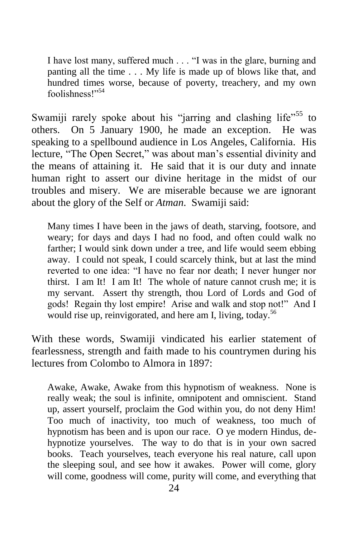I have lost many, suffered much . . . "I was in the glare, burning and panting all the time . . . My life is made up of blows like that, and hundred times worse, because of poverty, treachery, and my own foolishness!"<sup>54</sup>

Swamiji rarely spoke about his "jarring and clashing life"<sup>55</sup> to others. On 5 January 1900, he made an exception. He was speaking to a spellbound audience in Los Angeles, California. His lecture, "The Open Secret," was about man's essential divinity and the means of attaining it. He said that it is our duty and innate human right to assert our divine heritage in the midst of our troubles and misery. We are miserable because we are ignorant about the glory of the Self or *Atman*. Swamiji said:

Many times I have been in the jaws of death, starving, footsore, and weary; for days and days I had no food, and often could walk no farther; I would sink down under a tree, and life would seem ebbing away. I could not speak, I could scarcely think, but at last the mind reverted to one idea: "I have no fear nor death; I never hunger nor thirst. I am It! I am It! The whole of nature cannot crush me; it is my servant. Assert thy strength, thou Lord of Lords and God of gods! Regain thy lost empire! Arise and walk and stop not!" And I would rise up, reinvigorated, and here am I, living, today.<sup>56</sup>

With these words, Swamiji vindicated his earlier statement of fearlessness, strength and faith made to his countrymen during his lectures from Colombo to Almora in 1897:

Awake, Awake, Awake from this hypnotism of weakness. None is really weak; the soul is infinite, omnipotent and omniscient. Stand up, assert yourself, proclaim the God within you, do not deny Him! Too much of inactivity, too much of weakness, too much of hypnotism has been and is upon our race. O ye modern Hindus, dehypnotize yourselves. The way to do that is in your own sacred books. Teach yourselves, teach everyone his real nature, call upon the sleeping soul, and see how it awakes. Power will come, glory will come, goodness will come, purity will come, and everything that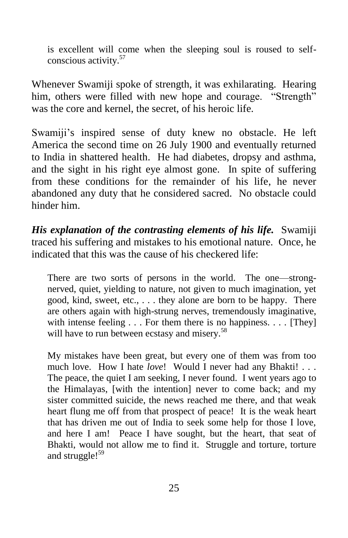is excellent will come when the sleeping soul is roused to selfconscious activity.<sup>57</sup>

Whenever Swamiji spoke of strength, it was exhilarating. Hearing him, others were filled with new hope and courage. "Strength" was the core and kernel, the secret, of his heroic life.

Swamiji's inspired sense of duty knew no obstacle. He left America the second time on 26 July 1900 and eventually returned to India in shattered health. He had diabetes, dropsy and asthma, and the sight in his right eye almost gone. In spite of suffering from these conditions for the remainder of his life, he never abandoned any duty that he considered sacred. No obstacle could hinder him.

*His explanation of the contrasting elements of his life.* Swamiji traced his suffering and mistakes to his emotional nature. Once, he indicated that this was the cause of his checkered life:

There are two sorts of persons in the world. The one—strongnerved, quiet, yielding to nature, not given to much imagination, yet good, kind, sweet, etc., . . . they alone are born to be happy. There are others again with high-strung nerves, tremendously imaginative, with intense feeling . . . For them there is no happiness. . . . [They] will have to run between ecstasy and misery.<sup>58</sup>

My mistakes have been great, but every one of them was from too much love. How I hate *love*! Would I never had any Bhakti! . . . The peace, the quiet I am seeking, I never found. I went years ago to the Himalayas, [with the intention] never to come back; and my sister committed suicide, the news reached me there, and that weak heart flung me off from that prospect of peace! It is the weak heart that has driven me out of India to seek some help for those I love, and here I am! Peace I have sought, but the heart, that seat of Bhakti, would not allow me to find it. Struggle and torture, torture and struggle!<sup>59</sup>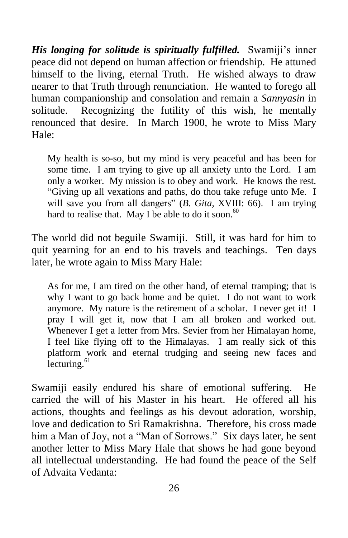*His longing for solitude is spiritually fulfilled.* Swamiji's inner peace did not depend on human affection or friendship. He attuned himself to the living, eternal Truth. He wished always to draw nearer to that Truth through renunciation. He wanted to forego all human companionship and consolation and remain a *Sannyasin* in solitude. Recognizing the futility of this wish, he mentally renounced that desire. In March 1900, he wrote to Miss Mary Hale:

My health is so-so, but my mind is very peaceful and has been for some time. I am trying to give up all anxiety unto the Lord. I am only a worker. My mission is to obey and work. He knows the rest. "Giving up all vexations and paths, do thou take refuge unto Me. I will save you from all dangers" (*B. Gita*, XVIII: 66). I am trying hard to realise that. May I be able to do it soon.<sup>60</sup>

The world did not beguile Swamiji. Still, it was hard for him to quit yearning for an end to his travels and teachings. Ten days later, he wrote again to Miss Mary Hale:

As for me, I am tired on the other hand, of eternal tramping; that is why I want to go back home and be quiet. I do not want to work anymore. My nature is the retirement of a scholar. I never get it! I pray I will get it, now that I am all broken and worked out. Whenever I get a letter from Mrs. Sevier from her Himalayan home, I feel like flying off to the Himalayas. I am really sick of this platform work and eternal trudging and seeing new faces and lecturing.<sup>61</sup>

Swamiji easily endured his share of emotional suffering. He carried the will of his Master in his heart. He offered all his actions, thoughts and feelings as his devout adoration, worship, love and dedication to Sri Ramakrishna. Therefore, his cross made him a Man of Joy, not a "Man of Sorrows." Six days later, he sent another letter to Miss Mary Hale that shows he had gone beyond all intellectual understanding. He had found the peace of the Self of Advaita Vedanta: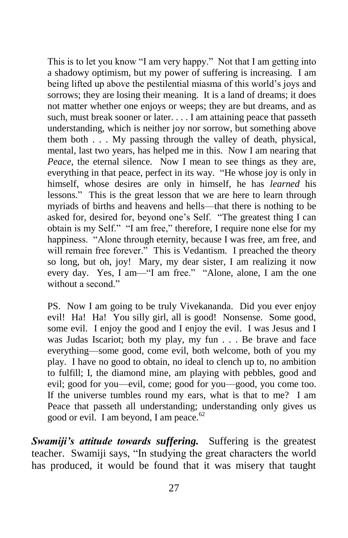This is to let you know "I am very happy." Not that I am getting into a shadowy optimism, but my power of suffering is increasing. I am being lifted up above the pestilential miasma of this world's joys and sorrows; they are losing their meaning. It is a land of dreams; it does not matter whether one enjoys or weeps; they are but dreams, and as such, must break sooner or later. . . . I am attaining peace that passeth understanding, which is neither joy nor sorrow, but something above them both . . . My passing through the valley of death, physical, mental, last two years, has helped me in this. Now I am nearing that *Peace*, the eternal silence. Now I mean to see things as they are, everything in that peace, perfect in its way. "He whose joy is only in himself, whose desires are only in himself, he has *learned* his lessons." This is the great lesson that we are here to learn through myriads of births and heavens and hells—that there is nothing to be asked for, desired for, beyond one's Self. "The greatest thing I can obtain is my Self." "I am free," therefore, I require none else for my happiness. "Alone through eternity, because I was free, am free, and will remain free forever." This is Vedantism. I preached the theory so long, but oh, joy! Mary, my dear sister, I am realizing it now every day. Yes, I am—"I am free." "Alone, alone, I am the one without a second."

PS. Now I am going to be truly Vivekananda. Did you ever enjoy evil! Ha! Ha! You silly girl, all is good! Nonsense. Some good, some evil. I enjoy the good and I enjoy the evil. I was Jesus and I was Judas Iscariot; both my play, my fun . . . Be brave and face everything—some good, come evil, both welcome, both of you my play. I have no good to obtain, no ideal to clench up to, no ambition to fulfill; I, the diamond mine, am playing with pebbles, good and evil; good for you—evil, come; good for you—good, you come too. If the universe tumbles round my ears, what is that to me? I am Peace that passeth all understanding; understanding only gives us good or evil. I am beyond, I am peace. $62$ 

*Swamiji's attitude towards suffering.* Suffering is the greatest teacher. Swamiji says, "In studying the great characters the world has produced, it would be found that it was misery that taught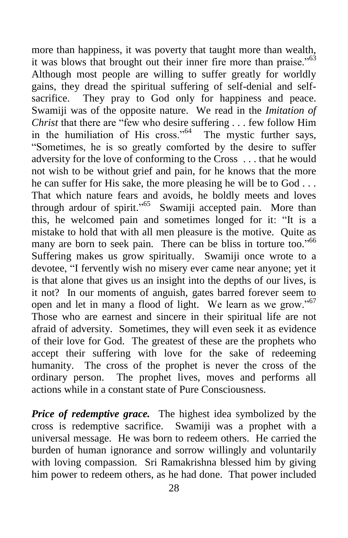more than happiness, it was poverty that taught more than wealth, it was blows that brought out their inner fire more than praise."<sup>63</sup> Although most people are willing to suffer greatly for worldly gains, they dread the spiritual suffering of self-denial and selfsacrifice. They pray to God only for happiness and peace. Swamiji was of the opposite nature. We read in the *Imitation of Christ* that there are "few who desire suffering . . . few follow Him in the humiliation of His cross." $64$  The mystic further says, "Sometimes, he is so greatly comforted by the desire to suffer adversity for the love of conforming to the Cross . . . that he would not wish to be without grief and pain, for he knows that the more he can suffer for His sake, the more pleasing he will be to God . . . That which nature fears and avoids, he boldly meets and loves through ardour of spirit."<sup>65</sup> Swamiji accepted pain. More than this, he welcomed pain and sometimes longed for it: "It is a mistake to hold that with all men pleasure is the motive. Quite as many are born to seek pain. There can be bliss in torture too."<sup>66</sup> Suffering makes us grow spiritually. Swamiji once wrote to a devotee, "I fervently wish no misery ever came near anyone; yet it is that alone that gives us an insight into the depths of our lives, is it not? In our moments of anguish, gates barred forever seem to open and let in many a flood of light. We learn as we grow."<sup>67</sup> Those who are earnest and sincere in their spiritual life are not afraid of adversity. Sometimes, they will even seek it as evidence of their love for God. The greatest of these are the prophets who accept their suffering with love for the sake of redeeming humanity. The cross of the prophet is never the cross of the ordinary person. The prophet lives, moves and performs all actions while in a constant state of Pure Consciousness.

*Price of redemptive grace.* The highest idea symbolized by the cross is redemptive sacrifice. Swamiji was a prophet with a universal message. He was born to redeem others. He carried the burden of human ignorance and sorrow willingly and voluntarily with loving compassion. Sri Ramakrishna blessed him by giving him power to redeem others, as he had done. That power included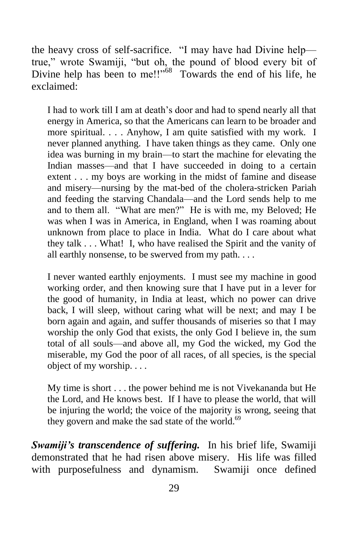the heavy cross of self-sacrifice. "I may have had Divine help true," wrote Swamiji, "but oh, the pound of blood every bit of Divine help has been to me!!"<sup>68</sup> Towards the end of his life, he exclaimed:

I had to work till I am at death's door and had to spend nearly all that energy in America, so that the Americans can learn to be broader and more spiritual. . . . Anyhow, I am quite satisfied with my work. I never planned anything. I have taken things as they came. Only one idea was burning in my brain—to start the machine for elevating the Indian masses—and that I have succeeded in doing to a certain extent . . . my boys are working in the midst of famine and disease and misery—nursing by the mat-bed of the cholera-stricken Pariah and feeding the starving Chandala—and the Lord sends help to me and to them all. "What are men?" He is with me, my Beloved; He was when I was in America, in England, when I was roaming about unknown from place to place in India. What do I care about what they talk . . . What! I, who have realised the Spirit and the vanity of all earthly nonsense, to be swerved from my path. . . .

I never wanted earthly enjoyments. I must see my machine in good working order, and then knowing sure that I have put in a lever for the good of humanity, in India at least, which no power can drive back, I will sleep, without caring what will be next; and may I be born again and again, and suffer thousands of miseries so that I may worship the only God that exists, the only God I believe in, the sum total of all souls—and above all, my God the wicked, my God the miserable, my God the poor of all races, of all species, is the special object of my worship. . . .

My time is short . . . the power behind me is not Vivekananda but He the Lord, and He knows best. If I have to please the world, that will be injuring the world; the voice of the majority is wrong, seeing that they govern and make the sad state of the world.<sup>69</sup>

*Swamiji's transcendence of suffering.* In his brief life, Swamiji demonstrated that he had risen above misery. His life was filled with purposefulness and dynamism. Swamiji once defined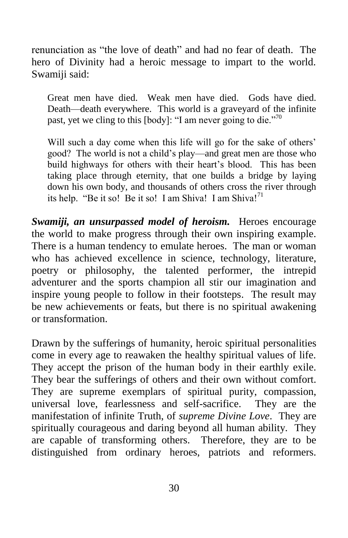renunciation as "the love of death" and had no fear of death. The hero of Divinity had a heroic message to impart to the world. Swamiji said:

Great men have died. Weak men have died. Gods have died. Death—death everywhere. This world is a graveyard of the infinite past, yet we cling to this [body]: "I am never going to die."<sup>70</sup>

Will such a day come when this life will go for the sake of others' good? The world is not a child's play—and great men are those who build highways for others with their heart's blood. This has been taking place through eternity, that one builds a bridge by laying down his own body, and thousands of others cross the river through its help. "Be it so! Be it so! I am Shiva! I am Shiva! $1^{71}$ 

*Swamiji, an unsurpassed model of heroism.* Heroes encourage the world to make progress through their own inspiring example. There is a human tendency to emulate heroes. The man or woman who has achieved excellence in science, technology, literature, poetry or philosophy, the talented performer, the intrepid adventurer and the sports champion all stir our imagination and inspire young people to follow in their footsteps. The result may be new achievements or feats, but there is no spiritual awakening or transformation.

Drawn by the sufferings of humanity, heroic spiritual personalities come in every age to reawaken the healthy spiritual values of life. They accept the prison of the human body in their earthly exile. They bear the sufferings of others and their own without comfort. They are supreme exemplars of spiritual purity, compassion, universal love, fearlessness and self-sacrifice. They are the manifestation of infinite Truth, of *supreme Divine Love*. They are spiritually courageous and daring beyond all human ability. They are capable of transforming others. Therefore, they are to be distinguished from ordinary heroes, patriots and reformers.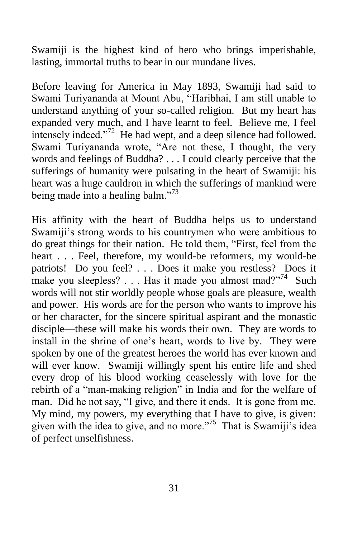Swamiji is the highest kind of hero who brings imperishable, lasting, immortal truths to bear in our mundane lives.

Before leaving for America in May 1893, Swamiji had said to Swami Turiyananda at Mount Abu, "Haribhai, I am still unable to understand anything of your so-called religion. But my heart has expanded very much, and I have learnt to feel. Believe me, I feel intensely indeed."<sup>72</sup> He had wept, and a deep silence had followed. Swami Turiyananda wrote, "Are not these, I thought, the very words and feelings of Buddha? . . . I could clearly perceive that the sufferings of humanity were pulsating in the heart of Swamiji: his heart was a huge cauldron in which the sufferings of mankind were being made into a healing balm."<sup>73</sup>

His affinity with the heart of Buddha helps us to understand Swamiji's strong words to his countrymen who were ambitious to do great things for their nation. He told them, "First, feel from the heart . . . Feel, therefore, my would-be reformers, my would-be patriots! Do you feel? . . . Does it make you restless? Does it make you sleepless? . . . Has it made you almost mad?"<sup>74</sup> Such words will not stir worldly people whose goals are pleasure, wealth and power. His words are for the person who wants to improve his or her character, for the sincere spiritual aspirant and the monastic disciple—these will make his words their own. They are words to install in the shrine of one's heart, words to live by. They were spoken by one of the greatest heroes the world has ever known and will ever know. Swamiji willingly spent his entire life and shed every drop of his blood working ceaselessly with love for the rebirth of a "man-making religion" in India and for the welfare of man. Did he not say, "I give, and there it ends. It is gone from me. My mind, my powers, my everything that I have to give, is given: given with the idea to give, and no more."<sup>75</sup> That is Swamiji's idea of perfect unselfishness.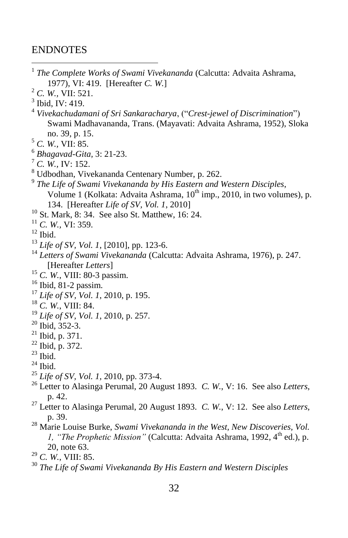#### ENDNOTES

 $\overline{a}$  *The Complete Works of Swami Vivekananda* (Calcutta: Advaita Ashrama, 1977), VI: 419. [Hereafter *C. W.*] *C. W.,* VII: 521. Ibid, IV: 419. *Vivekachudamani of Sri Sankaracharya*, ("*Crest-jewel of Discrimination*") Swami Madhavananda, Trans. (Mayavati: Advaita Ashrama, 1952), Sloka no. 39, p. 15. *C. W.,* VII: 85. *Bhagavad-Gita,* 3: 21-23. *C. W.,* IV: 152. Udbodhan, Vivekananda Centenary Number, p. 262. *The Life of Swami Vivekananda by His Eastern and Western Disciples*, Volume 1 (Kolkata: Advaita Ashrama,  $10^{th}$  imp., 2010, in two volumes), p. 134. [Hereafter *Life of SV, Vol. 1*, 2010] St. Mark, 8: 34. See also St. Matthew, 16: 24. *C. W.,* VI: 359. Ibid. *Life of SV, Vol. 1*, [2010], pp. 123-6. *Letters of Swami Vivekananda* (Calcutta: Advaita Ashrama, 1976), p. 247. [Hereafter *Letters*] *C. W.*, VIII: 80-3 passim. Ibid, 81-2 passim. *Life of SV, Vol. 1*, 2010, p. 195. *C. W.*, VIII: 84. *Life of SV, Vol. 1*, 2010, p. 257. Ibid, 352-3. Ibid, p. 371.  $^{22}$  Ibid, p. 372. Ibid. Ibid. *Life of SV, Vol. 1,* 2010, pp. 373-4. Letter to Alasinga Perumal, 20 August 1893. *C. W.*, V: 16. See also *Letters*, p. 42. Letter to Alasinga Perumal, 20 August 1893. *C. W.*, V: 12. See also *Letters*, p. 39. Marie Louise Burke, *Swami Vivekananda in the West, New Discoveries, Vol. 1, "The Prophetic Mission"* (Calcutta: Advaita Ashrama, 1992, 4<sup>th</sup> ed.), p. 20, note 63. *C. W.*, VIII: 85. *The Life of Swami Vivekananda By His Eastern and Western Disciples*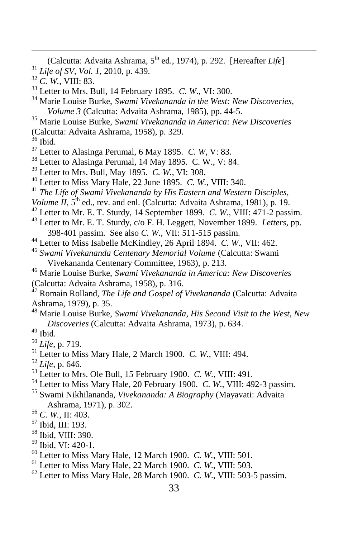(Calcutta: Advaita Ashrama, 5<sup>th</sup> ed., 1974), p. 292. [Hereafter *Life*] *Life of SV, Vol. 1*, 2010, p. 439.

- 
- *C. W.*, VIII: 83.
- Letter to Mrs. Bull, 14 February 1895. *C. W*., VI: 300.
- Marie Louise Burke, *Swami Vivekananda in the West: New Discoveries, Volume 3* (Calcutta: Advaita Ashrama, 1985), pp. 44-5.
- Marie Louise Burke, *Swami Vivekananda in America: New Discoveries*
- (Calcutta: Advaita Ashrama, 1958), p. 329.
- Ibid.

 $\overline{a}$ 

- Letter to Alasinga Perumal, 6 May 1895. *C. W*, V: 83.
- Letter to Alasinga Perumal, 14 May 1895. C. W., V: 84.
- Letter to Mrs. Bull, May 1895. *C. W.*, VI: 308.
- Letter to Miss Mary Hale, 22 June 1895. *C. W.*, VIII: 340.
- *The Life of Swami Vivekananda by His Eastern and Western Disciples,*
- *Volume II*,  $5<sup>th</sup>$  ed., rev. and enl. (Calcutta: Advaita Ashrama, 1981), p. 19.
- Letter to Mr. E. T. Sturdy, 14 September 1899. *C. W*., VIII: 471-2 passim.
- Letter to Mr. E. T. Sturdy, c/o F. H. Leggett, November 1899. *Letters*, pp. 398-401 passim. See also *C. W.*, VII: 511-515 passim.
- Letter to Miss Isabelle McKindley, 26 April 1894. *C. W.*, VII: 462.
- *Swami Vivekananda Centenary Memorial Volume* (Calcutta: Swami Vivekananda Centenary Committee, 1963), p. 213.
- Marie Louise Burke, *Swami Vivekananda in America: New Discoveries*  (Calcutta: Advaita Ashrama, 1958), p. 316.
- Romain Rolland, *The Life and Gospel of Vivekananda* (Calcutta: Advaita Ashrama, 1979), p. 35.
- Marie Louise Burke, *Swami Vivekananda, His Second Visit to the West, New Discoveries* (Calcutta: Advaita Ashrama, 1973), p. 634.
- Ibid.
- *Life*, p. 719.
- Letter to Miss Mary Hale, 2 March 1900. *C. W.*, VIII: 494.
- *Life*, p. 646.
- Letter to Mrs. Ole Bull, 15 February 1900. *C. W.*, VIII: 491.
- Letter to Miss Mary Hale, 20 February 1900. *C. W*., VIII: 492-3 passim.
- Swami Nikhilananda, *Vivekananda: A Biography* (Mayavati: Advaita Ashrama, 1971), p. 302.
- *C. W.*, II: 403.
- Ibid, III: 193.
- Ibid, VIII: 390.
- Ibid, VI: 420-1.
- Letter to Miss Mary Hale, 12 March 1900. *C. W.*, VIII: 501.
- Letter to Miss Mary Hale, 22 March 1900. *C. W*., VIII: 503.
- Letter to Miss Mary Hale, 28 March 1900. *C. W*., VIII: 503-5 passim.